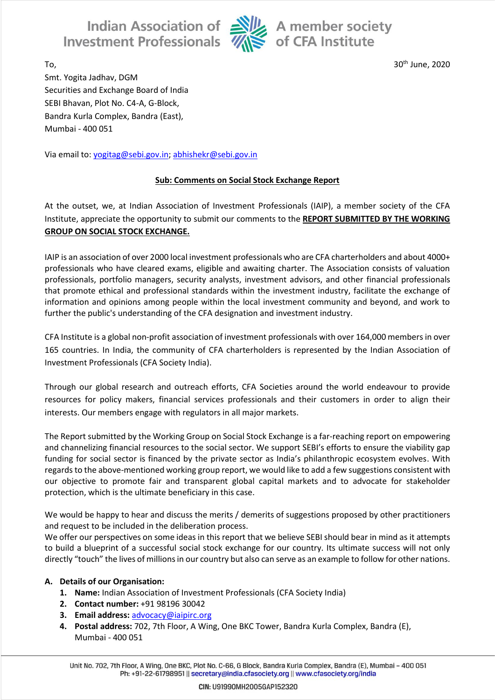Indian Association of Alle A member society<br>Investment Professionals  $\overline{\mathcal{U}}$  of CFA Institute



 $T_0$ ,  $30<sup>th</sup>$  June, 2020

Smt. Yogita Jadhav, DGM Securities and Exchange Board of India SEBI Bhavan, Plot No. C4-A, G-Block, Bandra Kurla Complex, Bandra (East), Mumbai - 400 051

Via email to: [yogitag@sebi.gov.in;](mailto:yogitag@sebi.gov.in) [abhishekr@sebi.gov.in](mailto:abhishekr@sebi.gov.in)

## **Sub: Comments on Social Stock Exchange Report**

At the outset, we, at Indian Association of Investment Professionals (IAIP), a member society of the CFA Institute, appreciate the opportunity to submit our comments to the **REPORT SUBMITTED BY THE WORKING GROUP ON SOCIAL STOCK EXCHANGE.**

IAIP is an association of over 2000 local investment professionals who are CFA charterholders and about 4000+ professionals who have cleared exams, eligible and awaiting charter. The Association consists of valuation professionals, portfolio managers, security analysts, investment advisors, and other financial professionals that promote ethical and professional standards within the investment industry, facilitate the exchange of information and opinions among people within the local investment community and beyond, and work to further the public's understanding of the CFA designation and investment industry.

CFA Institute is a global non-profit association of investment professionals with over 164,000 members in over 165 countries. In India, the community of CFA charterholders is represented by the Indian Association of Investment Professionals (CFA Society India).

Through our global research and outreach efforts, CFA Societies around the world endeavour to provide resources for policy makers, financial services professionals and their customers in order to align their interests. Our members engage with regulators in all major markets.

The Report submitted by the Working Group on Social Stock Exchange is a far-reaching report on empowering and channelizing financial resources to the social sector. We support SEBI's efforts to ensure the viability gap funding for social sector is financed by the private sector as India's philanthropic ecosystem evolves. With regards to the above-mentioned working group report, we would like to add a few suggestions consistent with our objective to promote fair and transparent global capital markets and to advocate for stakeholder protection, which is the ultimate beneficiary in this case.

We would be happy to hear and discuss the merits / demerits of suggestions proposed by other practitioners and request to be included in the deliberation process.

We offer our perspectives on some ideas in this report that we believe SEBI should bear in mind as it attempts to build a blueprint of a successful social stock exchange for our country. Its ultimate success will not only directly "touch" the lives of millions in our country but also can serve as an example to follow for other nations.

#### **A. Details of our Organisation:**

- **1. Name:** Indian Association of Investment Professionals (CFA Society India)
- **2. Contact number:** +91 98196 30042
- **3. Email address:** [advocacy@iaipirc.org](mailto:advocacy@iaipirc.org)
- **4. Postal address:** 702, 7th Floor, A Wing, One BKC Tower, Bandra Kurla Complex, Bandra (E), Mumbai - 400 051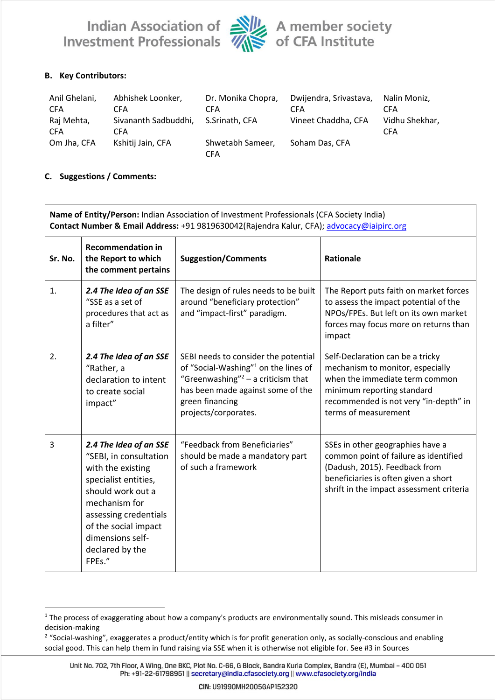Indian Association of Alle A member society<br>Investment Professionals Alle of CFA Institute



## **B. Key Contributors:**

| Anil Ghelani,            | Abhishek Loonker,                  | Dr. Monika Chopra,      | Dwijendra, Srivastava, | Nalin Moniz.                 |
|--------------------------|------------------------------------|-------------------------|------------------------|------------------------------|
| <b>CFA</b>               | <b>CFA</b>                         | CFA                     | <b>CFA</b>             | <b>CFA</b>                   |
| Raj Mehta,<br><b>CFA</b> | Sivananth Sadbuddhi,<br><b>CFA</b> | S.Srinath. CFA          | Vineet Chaddha, CFA    | Vidhu Shekhar,<br><b>CFA</b> |
| Om Jha, CFA              | Kshitij Jain, CFA                  | Shwetabh Sameer,<br>CFA | Soham Das, CFA         |                              |

#### **C. Suggestions / Comments:**

| Name of Entity/Person: Indian Association of Investment Professionals (CFA Society India)<br>Contact Number & Email Address: +91 9819630042(Rajendra Kalur, CFA); advocacy@iaipirc.org |                                                                                                                                                                                                                                       |                                                                                                                                                                                                                   |                                                                                                                                                                                                       |  |  |  |
|----------------------------------------------------------------------------------------------------------------------------------------------------------------------------------------|---------------------------------------------------------------------------------------------------------------------------------------------------------------------------------------------------------------------------------------|-------------------------------------------------------------------------------------------------------------------------------------------------------------------------------------------------------------------|-------------------------------------------------------------------------------------------------------------------------------------------------------------------------------------------------------|--|--|--|
| Sr. No.                                                                                                                                                                                | <b>Recommendation in</b><br>the Report to which<br>the comment pertains                                                                                                                                                               | <b>Suggestion/Comments</b>                                                                                                                                                                                        | <b>Rationale</b>                                                                                                                                                                                      |  |  |  |
| 1.                                                                                                                                                                                     | 2.4 The Idea of an SSE<br>"SSE as a set of<br>procedures that act as<br>a filter"                                                                                                                                                     | The design of rules needs to be built<br>around "beneficiary protection"<br>and "impact-first" paradigm.                                                                                                          | The Report puts faith on market forces<br>to assess the impact potential of the<br>NPOs/FPEs. But left on its own market<br>forces may focus more on returns than<br>impact                           |  |  |  |
| 2.                                                                                                                                                                                     | 2.4 The Idea of an SSE<br>"Rather, a<br>declaration to intent<br>to create social<br>impact"                                                                                                                                          | SEBI needs to consider the potential<br>of "Social-Washing" <sup>1</sup> on the lines of<br>"Greenwashing" $2 - a$ criticism that<br>has been made against some of the<br>green financing<br>projects/corporates. | Self-Declaration can be a tricky<br>mechanism to monitor, especially<br>when the immediate term common<br>minimum reporting standard<br>recommended is not very "in-depth" in<br>terms of measurement |  |  |  |
| 3                                                                                                                                                                                      | 2.4 The Idea of an SSE<br>"SEBI, in consultation<br>with the existing<br>specialist entities,<br>should work out a<br>mechanism for<br>assessing credentials<br>of the social impact<br>dimensions self-<br>declared by the<br>FPEs." | "Feedback from Beneficiaries"<br>should be made a mandatory part<br>of such a framework                                                                                                                           | SSEs in other geographies have a<br>common point of failure as identified<br>(Dadush, 2015). Feedback from<br>beneficiaries is often given a short<br>shrift in the impact assessment criteria        |  |  |  |

<sup>&</sup>lt;sup>1</sup> The process of exaggerating about how a company's products are environmentally sound. This misleads consumer in decision-making

<sup>&</sup>lt;sup>2</sup> "Social-washing", exaggerates a product/entity which is for profit generation only, as socially-conscious and enabling social good. This can help them in fund raising via SSE when it is otherwise not eligible for. See #3 in Sources

Unit No. 702, 7th Floor, A Wing, One BKC, Plot No. C-66, G Block, Bandra Kurla Complex, Bandra (E), Mumbai - 400 051 Ph: +91-22-61798951 || secretary@india.cfasociety.org || www.cfasociety.org/india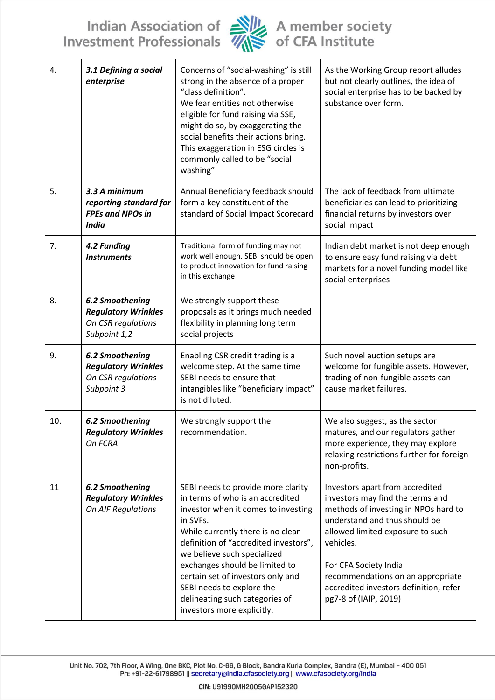Indian Association of Alle A member society<br>Investment Professionals Alle of CFA Institute



| 4.  | 3.1 Defining a social<br>enterprise                                                 | Concerns of "social-washing" is still<br>strong in the absence of a proper<br>"class definition".<br>We fear entities not otherwise<br>eligible for fund raising via SSE,<br>might do so, by exaggerating the<br>social benefits their actions bring.<br>This exaggeration in ESG circles is<br>commonly called to be "social<br>washing"                                                                  | As the Working Group report alludes<br>but not clearly outlines, the idea of<br>social enterprise has to be backed by<br>substance over form.                                                                                                                                                                                  |
|-----|-------------------------------------------------------------------------------------|------------------------------------------------------------------------------------------------------------------------------------------------------------------------------------------------------------------------------------------------------------------------------------------------------------------------------------------------------------------------------------------------------------|--------------------------------------------------------------------------------------------------------------------------------------------------------------------------------------------------------------------------------------------------------------------------------------------------------------------------------|
| 5.  | 3.3 A minimum<br>reporting standard for<br><b>FPEs and NPOs in</b><br><b>India</b>  | Annual Beneficiary feedback should<br>form a key constituent of the<br>standard of Social Impact Scorecard                                                                                                                                                                                                                                                                                                 | The lack of feedback from ultimate<br>beneficiaries can lead to prioritizing<br>financial returns by investors over<br>social impact                                                                                                                                                                                           |
| 7.  | 4.2 Funding<br><b>Instruments</b>                                                   | Traditional form of funding may not<br>work well enough. SEBI should be open<br>to product innovation for fund raising<br>in this exchange                                                                                                                                                                                                                                                                 | Indian debt market is not deep enough<br>to ensure easy fund raising via debt<br>markets for a novel funding model like<br>social enterprises                                                                                                                                                                                  |
| 8.  | 6.2 Smoothening<br><b>Regulatory Wrinkles</b><br>On CSR regulations<br>Subpoint 1,2 | We strongly support these<br>proposals as it brings much needed<br>flexibility in planning long term<br>social projects                                                                                                                                                                                                                                                                                    |                                                                                                                                                                                                                                                                                                                                |
| 9.  | 6.2 Smoothening<br><b>Regulatory Wrinkles</b><br>On CSR regulations<br>Subpoint 3   | Enabling CSR credit trading is a<br>welcome step. At the same time<br>SEBI needs to ensure that<br>intangibles like "beneficiary impact"<br>is not diluted.                                                                                                                                                                                                                                                | Such novel auction setups are<br>welcome for fungible assets. However,<br>trading of non-fungible assets can<br>cause market failures.                                                                                                                                                                                         |
| 10. | <b>6.2 Smoothening</b><br><b>Regulatory Wrinkles</b><br>On FCRA                     | We strongly support the<br>recommendation.                                                                                                                                                                                                                                                                                                                                                                 | We also suggest, as the sector<br>matures, and our regulators gather<br>more experience, they may explore<br>relaxing restrictions further for foreign<br>non-profits.                                                                                                                                                         |
| 11  | <b>6.2 Smoothening</b><br><b>Regulatory Wrinkles</b><br>On AIF Regulations          | SEBI needs to provide more clarity<br>in terms of who is an accredited<br>investor when it comes to investing<br>in SVFs.<br>While currently there is no clear<br>definition of "accredited investors",<br>we believe such specialized<br>exchanges should be limited to<br>certain set of investors only and<br>SEBI needs to explore the<br>delineating such categories of<br>investors more explicitly. | Investors apart from accredited<br>investors may find the terms and<br>methods of investing in NPOs hard to<br>understand and thus should be<br>allowed limited exposure to such<br>vehicles.<br>For CFA Society India<br>recommendations on an appropriate<br>accredited investors definition, refer<br>pg7-8 of (IAIP, 2019) |

Unit No. 702, 7th Floor, A Wing, One BKC, Plot No. C-66, G Block, Bandra Kurla Complex, Bandra (E), Mumbai - 400 051<br>Ph: +91-22-61798951 || secretary@india.cfasociety.org || www.cfasociety.org/india